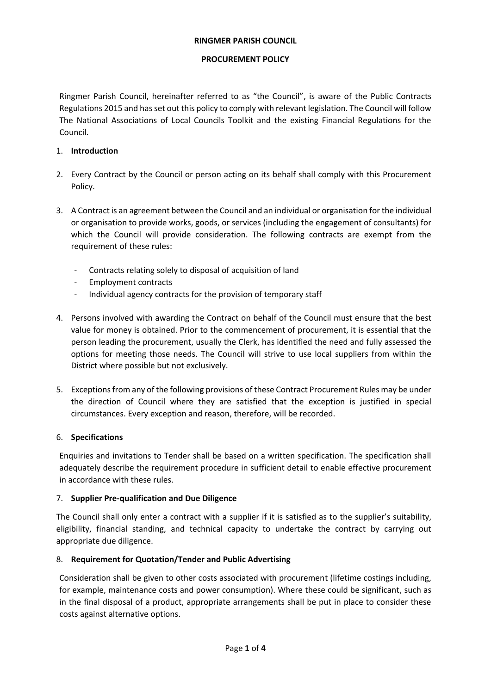### **RINGMER PARISH COUNCIL**

### **PROCUREMENT POLICY**

Ringmer Parish Council, hereinafter referred to as "the Council", is aware of the Public Contracts Regulations 2015 and has set out this policy to comply with relevant legislation. The Council will follow The National Associations of Local Councils Toolkit and the existing Financial Regulations for the Council.

# 1. **Introduction**

- 2. Every Contract by the Council or person acting on its behalf shall comply with this Procurement Policy.
- 3. A Contract is an agreement between the Council and an individual or organisation for the individual or organisation to provide works, goods, or services (including the engagement of consultants) for which the Council will provide consideration. The following contracts are exempt from the requirement of these rules:
	- Contracts relating solely to disposal of acquisition of land
	- Employment contracts
	- Individual agency contracts for the provision of temporary staff
- 4. Persons involved with awarding the Contract on behalf of the Council must ensure that the best value for money is obtained. Prior to the commencement of procurement, it is essential that the person leading the procurement, usually the Clerk, has identified the need and fully assessed the options for meeting those needs. The Council will strive to use local suppliers from within the District where possible but not exclusively.
- 5. Exceptions from any of the following provisions of these Contract Procurement Rules may be under the direction of Council where they are satisfied that the exception is justified in special circumstances. Every exception and reason, therefore, will be recorded.

# 6. **Specifications**

Enquiries and invitations to Tender shall be based on a written specification. The specification shall adequately describe the requirement procedure in sufficient detail to enable effective procurement in accordance with these rules.

# 7. **Supplier Pre-qualification and Due Diligence**

The Council shall only enter a contract with a supplier if it is satisfied as to the supplier's suitability, eligibility, financial standing, and technical capacity to undertake the contract by carrying out appropriate due diligence.

# 8. **Requirement for Quotation/Tender and Public Advertising**

Consideration shall be given to other costs associated with procurement (lifetime costings including, for example, maintenance costs and power consumption). Where these could be significant, such as in the final disposal of a product, appropriate arrangements shall be put in place to consider these costs against alternative options.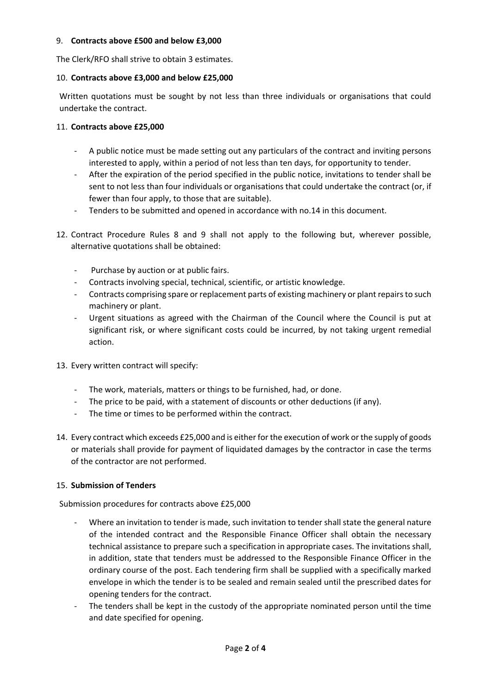### 9. **Contracts above £500 and below £3,000**

The Clerk/RFO shall strive to obtain 3 estimates.

### 10. **Contracts above £3,000 and below £25,000**

Written quotations must be sought by not less than three individuals or organisations that could undertake the contract.

### 11. **Contracts above £25,000**

- A public notice must be made setting out any particulars of the contract and inviting persons interested to apply, within a period of not less than ten days, for opportunity to tender.
- After the expiration of the period specified in the public notice, invitations to tender shall be sent to not less than four individuals or organisations that could undertake the contract (or, if fewer than four apply, to those that are suitable).
- Tenders to be submitted and opened in accordance with no.14 in this document.
- 12. Contract Procedure Rules 8 and 9 shall not apply to the following but, wherever possible, alternative quotations shall be obtained:
	- Purchase by auction or at public fairs.
	- Contracts involving special, technical, scientific, or artistic knowledge.
	- Contracts comprising spare or replacement parts of existing machinery or plant repairs to such machinery or plant.
	- Urgent situations as agreed with the Chairman of the Council where the Council is put at significant risk, or where significant costs could be incurred, by not taking urgent remedial action.
- 13. Every written contract will specify:
	- The work, materials, matters or things to be furnished, had, or done.
	- The price to be paid, with a statement of discounts or other deductions (if any).
	- The time or times to be performed within the contract.
- 14. Every contract which exceeds £25,000 and is either for the execution of work or the supply of goods or materials shall provide for payment of liquidated damages by the contractor in case the terms of the contractor are not performed.

# 15. **Submission of Tenders**

Submission procedures for contracts above £25,000

- Where an invitation to tender is made, such invitation to tender shall state the general nature of the intended contract and the Responsible Finance Officer shall obtain the necessary technical assistance to prepare such a specification in appropriate cases. The invitations shall, in addition, state that tenders must be addressed to the Responsible Finance Officer in the ordinary course of the post. Each tendering firm shall be supplied with a specifically marked envelope in which the tender is to be sealed and remain sealed until the prescribed dates for opening tenders for the contract.
- The tenders shall be kept in the custody of the appropriate nominated person until the time and date specified for opening.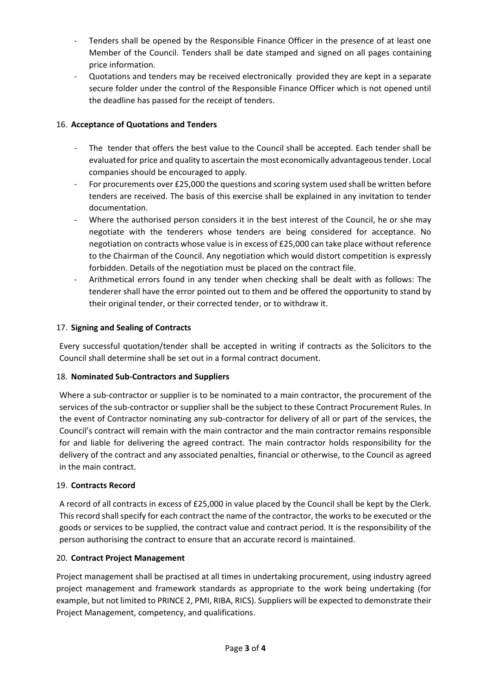- Tenders shall be opened by the Responsible Finance Officer in the presence of at least one Member of the Council. Tenders shall be date stamped and signed on all pages containing price information.
- Quotations and tenders may be received electronically provided they are kept in a separate secure folder under the control of the Responsible Finance Officer which is not opened until the deadline has passed for the receipt of tenders.

# 16. **Acceptance of Quotations and Tenders**

- The tender that offers the best value to the Council shall be accepted. Each tender shall be evaluated for price and quality to ascertain the most economically advantageous tender. Local companies should be encouraged to apply.
- For procurements over £25,000 the questions and scoring system used shall be written before tenders are received. The basis of this exercise shall be explained in any invitation to tender documentation.
- Where the authorised person considers it in the best interest of the Council, he or she may negotiate with the tenderers whose tenders are being considered for acceptance. No negotiation on contracts whose value is in excess of £25,000 can take place without reference to the Chairman of the Council. Any negotiation which would distort competition is expressly forbidden. Details of the negotiation must be placed on the contract file.
- Arithmetical errors found in any tender when checking shall be dealt with as follows: The tenderer shall have the error pointed out to them and be offered the opportunity to stand by their original tender, or their corrected tender, or to withdraw it.

# 17. **Signing and Sealing of Contracts**

Every successful quotation/tender shall be accepted in writing if contracts as the Solicitors to the Council shall determine shall be set out in a formal contract document.

# 18. **Nominated Sub-Contractors and Suppliers**

Where a sub-contractor or supplier is to be nominated to a main contractor, the procurement of the services of the sub-contractor or supplier shall be the subject to these Contract Procurement Rules. In the event of Contractor nominating any sub-contractor for delivery of all or part of the services, the Council's contract will remain with the main contractor and the main contractor remains responsible for and liable for delivering the agreed contract. The main contractor holds responsibility for the delivery of the contract and any associated penalties, financial or otherwise, to the Council as agreed in the main contract.

# 19. **Contracts Record**

A record of all contracts in excess of £25,000 in value placed by the Council shall be kept by the Clerk. This record shall specify for each contract the name of the contractor, the works to be executed or the goods or services to be supplied, the contract value and contract period. It is the responsibility of the person authorising the contract to ensure that an accurate record is maintained.

# 20. **Contract Project Management**

Project management shall be practised at all times in undertaking procurement, using industry agreed project management and framework standards as appropriate to the work being undertaking (for example, but not limited to PRINCE 2, PMI, RIBA, RICS). Suppliers will be expected to demonstrate their Project Management, competency, and qualifications.